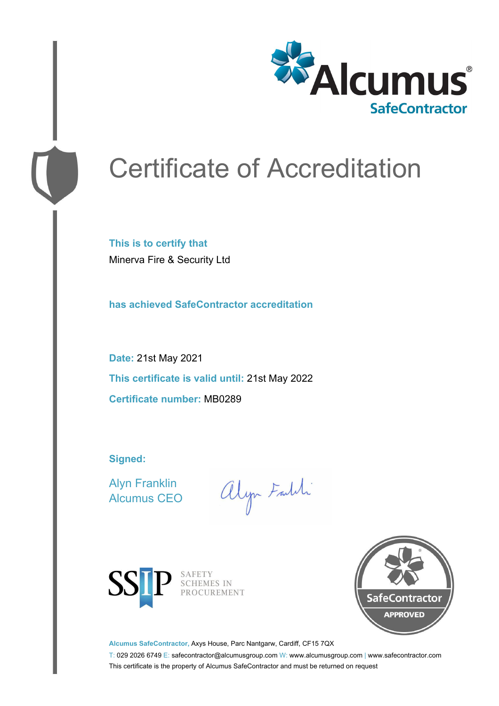

# Certificate of Accreditation

**This is to certify that** Minerva Fire & Security Ltd

**has achieved SafeContractor accreditation**

**Date:** 21st May 2021 **This certificate is valid until:** 21st May 2022 **Certificate number:** MB0289

**Signed:**

Alyn Franklin Alcumus CEO

alyn Faldi



SAFETY<br>SCHEMES IN PROCUREMENT



**Alcumus SafeContractor,** Axys House, Parc Nantgarw, Cardiff, CF15 7QX

T: 029 2026 6749 E: safecontractor@alcumusgroup.com W: www.alcumusgroup.com | www.safecontractor.com This certificate is the property of Alcumus SafeContractor and must be returned on request